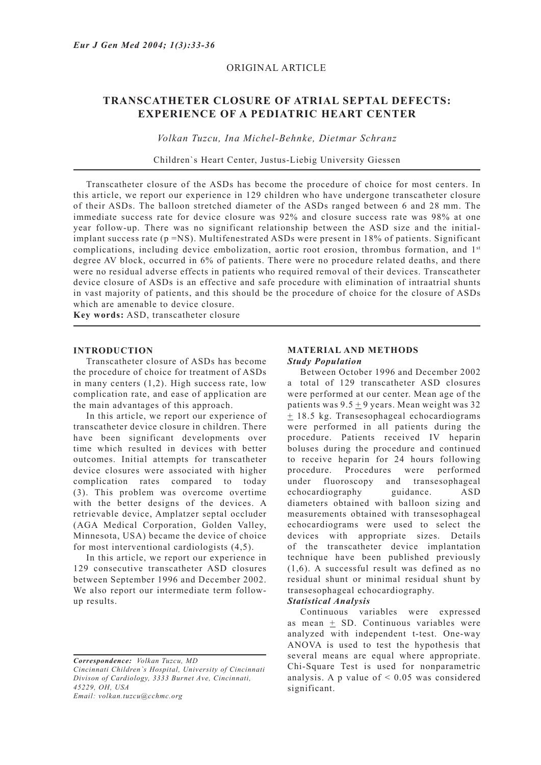# ORIGINAL ARTICLE

# **TRANSCATHETER CLOSURE OF ATRIAL SEPTAL DEFECTS: EXPERIENCE OF A PEDIATRIC HEART CENTER**

*Volkan Tuzcu, Ina Michel-Behnke, Dietmar Schranz*

Children`s Heart Center, Justus-Liebig University Giessen

Transcatheter closure of the ASDs has become the procedure of choice for most centers. In this article, we report our experience in 129 children who have undergone transcatheter closure of their ASDs. The balloon stretched diameter of the ASDs ranged between 6 and 28 mm. The immediate success rate for device closure was 92% and closure success rate was 98% at one year follow-up. There was no significant relationship between the ASD size and the initialimplant success rate  $(p = NS)$ . Multifenestrated ASDs were present in 18% of patients. Significant complications, including device embolization, aortic root erosion, thrombus formation, and  $1<sup>st</sup>$ degree AV block, occurred in 6% of patients. There were no procedure related deaths, and there were no residual adverse effects in patients who required removal of their devices. Transcatheter device closure of ASDs is an effective and safe procedure with elimination of intraatrial shunts in vast majority of patients, and this should be the procedure of choice for the closure of ASDs which are amenable to device closure.

**Key words:** ASD, transcatheter closure

### **INTRODUCTION**

Transcatheter closure of ASDs has become the procedure of choice for treatment of ASDs in many centers (1,2). High success rate, low complication rate, and ease of application are the main advantages of this approach.

In this article, we report our experience of transcatheter device closure in children. There have been significant developments over time which resulted in devices with better outcomes. Initial attempts for transcatheter device closures were associated with higher complication rates compared to today (3). This problem was overcome overtime with the better designs of the devices. A retrievable device, Amplatzer septal occluder (AGA Medical Corporation, Golden Valley, Minnesota, USA) became the device of choice for most interventional cardiologists (4,5).

In this article, we report our experience in 129 consecutive transcatheter ASD closures between September 1996 and December 2002. We also report our intermediate term followup results.

*Correspondence: Volkan Tuzcu, MD*

*Cincinnati Children`s Hospital, University of Cincinnati Divison of Cardiology, 3333 Burnet Ave, Cincinnati, 45229, OH, USA*

*Email: volkan.tuzcu@cchmc.org*

### **MATERIAL AND METHODS** *Study Population*

Between October 1996 and December 2002 a total of 129 transcatheter ASD closures were performed at our center. Mean age of the patients was  $9.5 + 9$  years. Mean weight was 32  $±$  18.5 kg. Transesophageal echocardiograms were performed in all patients during the procedure. Patients received IV heparin boluses during the procedure and continued to receive heparin for 24 hours following procedure. Procedures were performed under fluoroscopy and transesophageal echocardiography guidance. ASD diameters obtained with balloon sizing and measurements obtained with transesophageal echocardiograms were used to select the devices with appropriate sizes. Details of the transcatheter device implantation technique have been published previously (1,6). A successful result was defined as no residual shunt or minimal residual shunt by transesophageal echocardiography.

# *Statistical Analysis*

Continuous variables were expressed as mean  $\pm$  SD. Continuous variables were analyzed with independent t-test. One-way ANOVA is used to test the hypothesis that several means are equal where appropriate. Chi-Square Test is used for nonparametric analysis. A p value of  $\leq 0.05$  was considered significant.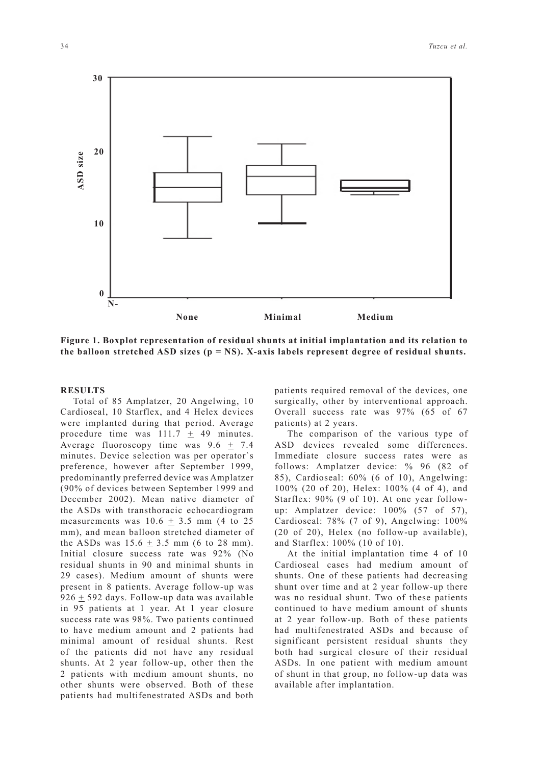**0 10 None Minimal Medium N-**

**Figure 1. Boxplot representation of residual shunts at initial implantation and its relation to the balloon stretched ASD sizes (p = NS). X-axis labels represent degree of residual shunts.**

### **RESULTS**

Total of 85 Amplatzer, 20 Angelwing, 10 Cardioseal, 10 Starflex, and 4 Helex devices were implanted during that period. Average procedure time was  $111.7 \pm 49$  minutes. Average fluoroscopy time was 9.6 + 7.4 minutes. Device selection was per operator`s preference, however after September 1999, predominantly preferred device was Amplatzer (90% of devices between September 1999 and December 2002). Mean native diameter of the ASDs with transthoracic echocardiogram measurements was  $10.6 \pm 3.5$  mm (4 to 25) mm), and mean balloon stretched diameter of the ASDs was  $15.6 + 3.5$  mm (6 to 28 mm). Initial closure success rate was 92% (No residual shunts in 90 and minimal shunts in 29 cases). Medium amount of shunts were present in 8 patients. Average follow-up was 926  $\pm$  592 days. Follow-up data was available in 95 patients at 1 year. At 1 year closure success rate was 98%. Two patients continued to have medium amount and 2 patients had minimal amount of residual shunts. Rest of the patients did not have any residual shunts. At 2 year follow-up, other then the 2 patients with medium amount shunts, no other shunts were observed. Both of these patients had multifenestrated ASDs and both

patients required removal of the devices, one surgically, other by interventional approach. Overall success rate was 97% (65 of 67 patients) at 2 years.

The comparison of the various type of ASD devices revealed some differences. Immediate closure success rates were as follows: Amplatzer device: % 96 (82 of 85), Cardioseal: 60% (6 of 10), Angelwing: 100% (20 of 20), Helex: 100% (4 of 4), and Starflex: 90% (9 of 10). At one year followup: Amplatzer device: 100% (57 of 57), Cardioseal: 78% (7 of 9), Angelwing: 100% (20 of 20), Helex (no follow-up available), and Starflex: 100% (10 of 10).

At the initial implantation time 4 of 10 Cardioseal cases had medium amount of shunts. One of these patients had decreasing shunt over time and at 2 year follow-up there was no residual shunt. Two of these patients continued to have medium amount of shunts at 2 year follow-up. Both of these patients had multifenestrated ASDs and because of significant persistent residual shunts they both had surgical closure of their residual ASDs. In one patient with medium amount of shunt in that group, no follow-up data was available after implantation.



**ASD size**

ASD size

**20**

**30**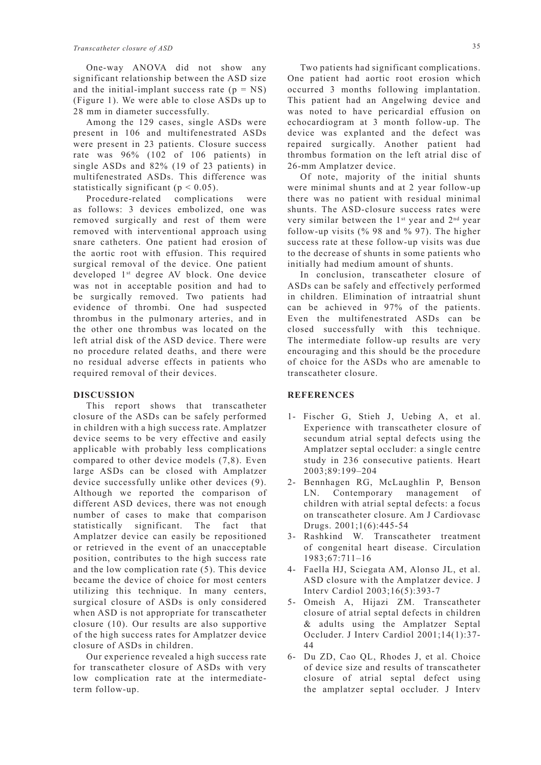One-way ANOVA did not show any significant relationship between the ASD size and the initial-implant success rate  $(p = NS)$ (Figure 1). We were able to close ASDs up to 28 mm in diameter successfully.

Among the 129 cases, single ASDs were present in 106 and multifenestrated ASDs were present in 23 patients. Closure success rate was 96% (102 of 106 patients) in single ASDs and 82% (19 of 23 patients) in multifenestrated ASDs. This difference was statistically significant ( $p < 0.05$ ).

Procedure-related complications were as follows: 3 devices embolized, one was removed surgically and rest of them were removed with interventional approach using snare catheters. One patient had erosion of the aortic root with effusion. This required surgical removal of the device. One patient developed 1st degree AV block. One device was not in acceptable position and had to be surgically removed. Two patients had evidence of thrombi. One had suspected thrombus in the pulmonary arteries, and in the other one thrombus was located on the left atrial disk of the ASD device. There were no procedure related deaths, and there were no residual adverse effects in patients who required removal of their devices.

### **DISCUSSION**

This report shows that transcatheter closure of the ASDs can be safely performed in children with a high success rate. Amplatzer device seems to be very effective and easily applicable with probably less complications compared to other device models (7,8). Even large ASDs can be closed with Amplatzer device successfully unlike other devices (9). Although we reported the comparison of different ASD devices, there was not enough number of cases to make that comparison statistically significant. The fact that Amplatzer device can easily be repositioned or retrieved in the event of an unacceptable position, contributes to the high success rate and the low complication rate (5). This device became the device of choice for most centers utilizing this technique. In many centers, surgical closure of ASDs is only considered when ASD is not appropriate for transcatheter closure (10). Our results are also supportive of the high success rates for Amplatzer device closure of ASDs in children.

Our experience revealed a high success rate for transcatheter closure of ASDs with very low complication rate at the intermediateterm follow-up.

Two patients had significant complications. One patient had aortic root erosion which occurred 3 months following implantation. This patient had an Angelwing device and was noted to have pericardial effusion on echocardiogram at 3 month follow-up. The device was explanted and the defect was repaired surgically. Another patient had thrombus formation on the left atrial disc of 26-mm Amplatzer device.

Of note, majority of the initial shunts were minimal shunts and at 2 year follow-up there was no patient with residual minimal shunts. The ASD-closure success rates were very similar between the 1<sup>st</sup> year and 2<sup>nd</sup> year follow-up visits (% 98 and % 97). The higher success rate at these follow-up visits was due to the decrease of shunts in some patients who initially had medium amount of shunts.

In conclusion, transcatheter closure of ASDs can be safely and effectively performed in children. Elimination of intraatrial shunt can be achieved in 97% of the patients. Even the multifenestrated ASDs can be closed successfully with this technique. The intermediate follow-up results are very encouraging and this should be the procedure of choice for the ASDs who are amenable to transcatheter closure.

### **REFERENCES**

- 1- Fischer G, Stieh J, Uebing A, et al. Experience with transcatheter closure of secundum atrial septal defects using the Amplatzer septal occluder: a single centre study in 236 consecutive patients. Heart 2003;89:199–204
- 2- Bennhagen RG, McLaughlin P, Benson LN. Contemporary management of children with atrial septal defects: a focus on transcatheter closure. Am J Cardiovasc Drugs. 2001;1(6):445-54
- 3- Rashkind W. Transcatheter treatment of congenital heart disease. Circulation 1983;67:711–16
- 4- Faella HJ, Sciegata AM, Alonso JL, et al. ASD closure with the Amplatzer device. J Interv Cardiol 2003;16(5):393-7
- 5- Omeish A, Hijazi ZM. Transcatheter closure of atrial septal defects in children & adults using the Amplatzer Septal Occluder. J Interv Cardiol 2001;14(1):37- 44
- 6- Du ZD, Cao QL, Rhodes J, et al. Choice of device size and results of transcatheter closure of atrial septal defect using the amplatzer septal occluder. J Interv